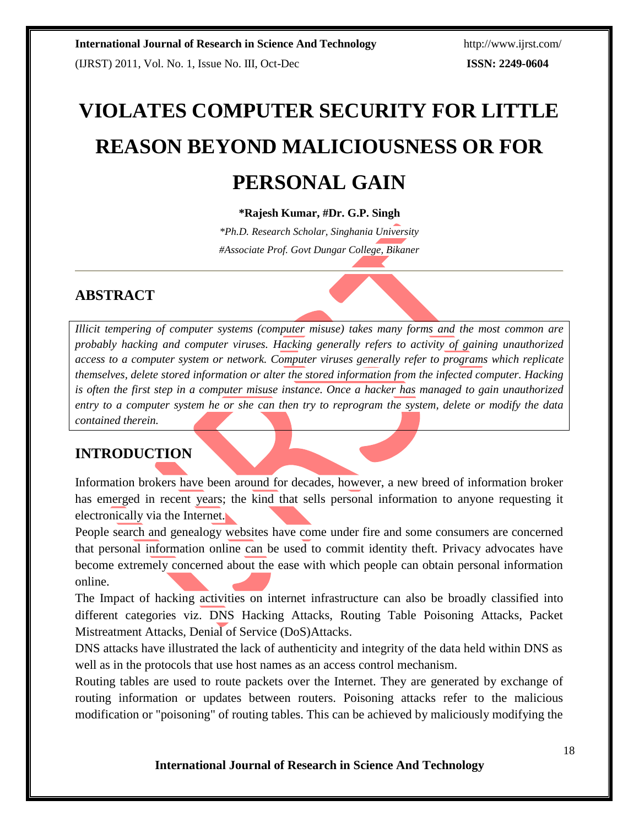# **VIOLATES COMPUTER SECURITY FOR LITTLE REASON BEYOND MALICIOUSNESS OR FOR PERSONAL GAIN**

#### **\*Rajesh Kumar, #Dr. G.P. Singh**

*\*Ph.D. Research Scholar, Singhania University #Associate Prof. Govt Dungar College, Bikaner*

# **ABSTRACT**

*Illicit tempering of computer systems (computer misuse) takes many forms and the most common are probably hacking and computer viruses. Hacking generally refers to activity of gaining unauthorized access to a computer system or network. Computer viruses generally refer to programs which replicate themselves, delete stored information or alter the stored information from the infected computer. Hacking is often the first step in a computer misuse instance. Once a hacker has managed to gain unauthorized entry to a computer system he or she can then try to reprogram the system, delete or modify the data contained therein.*

## **INTRODUCTION**

Information brokers have been around for decades, however, a new breed of information broker has emerged in recent years; the kind that sells personal information to anyone requesting it electronically via the Internet.

People search and genealogy websites have come under fire and some consumers are concerned that personal information online can be used to commit identity theft. Privacy advocates have become extremely concerned about the ease with which people can obtain personal information online.

The Impact of hacking activities on internet infrastructure can also be broadly classified into different categories viz. DNS Hacking Attacks, Routing Table Poisoning Attacks, Packet Mistreatment Attacks, Denial of Service (DoS)Attacks.

DNS attacks have illustrated the lack of authenticity and integrity of the data held within DNS as well as in the protocols that use host names as an access control mechanism.

Routing tables are used to route packets over the Internet. They are generated by exchange of routing information or updates between routers. Poisoning attacks refer to the malicious modification or "poisoning" of routing tables. This can be achieved by maliciously modifying the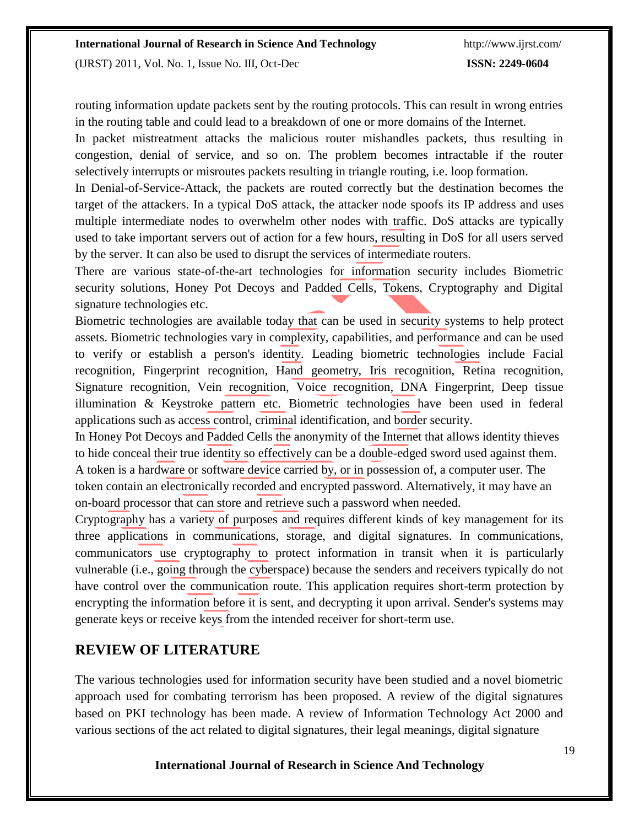(IJRST) 2011, Vol. No. 1, Issue No. III, Oct-Dec **ISSN: 2249-0604**

routing information update packets sent by the routing protocols. This can result in wrong entries in the routing table and could lead to a breakdown of one or more domains of the Internet.

In packet mistreatment attacks the malicious router mishandles packets, thus resulting in congestion, denial of service, and so on. The problem becomes intractable if the router selectively interrupts or misroutes packets resulting in triangle routing, i.e. loop formation.

In Denial-of-Service-Attack, the packets are routed correctly but the destination becomes the target of the attackers. In a typical DoS attack, the attacker node spoofs its IP address and uses multiple intermediate nodes to overwhelm other nodes with traffic. DoS attacks are typically used to take important servers out of action for a few hours, resulting in DoS for all users served by the server. It can also be used to disrupt the services of intermediate routers.

There are various state-of-the-art technologies for information security includes Biometric security solutions, Honey Pot Decoys and Padded Cells, Tokens, Cryptography and Digital signature technologies etc.

Biometric technologies are available today that can be used in security systems to help protect assets. Biometric technologies vary in complexity, capabilities, and performance and can be used to verify or establish a person's identity. Leading biometric technologies include Facial recognition, Fingerprint recognition, Hand geometry, Iris recognition, Retina recognition, Signature recognition, Vein recognition, Voice recognition, DNA Fingerprint, Deep tissue illumination & Keystroke pattern etc. Biometric technologies have been used in federal applications such as access control, criminal identification, and border security.

In Honey Pot Decoys and Padded Cells the anonymity of the Internet that allows identity thieves to hide conceal their true identity so effectively can be a double-edged sword used against them. A token is a hardware or software device carried by, or in possession of, a computer user. The token contain an electronically recorded and encrypted password. Alternatively, it may have an on-board processor that can store and retrieve such a password when needed.

Cryptography has a variety of purposes and requires different kinds of key management for its three applications in communications, storage, and digital signatures. In communications, communicators use cryptography to protect information in transit when it is particularly vulnerable (i.e., going through the cyberspace) because the senders and receivers typically do not have control over the communication route. This application requires short-term protection by encrypting the information before it is sent, and decrypting it upon arrival. Sender's systems may generate keys or receive keys from the intended receiver for short-term use.

#### **REVIEW OF LITERATURE**

The various technologies used for information security have been studied and a novel biometric approach used for combating terrorism has been proposed. A review of the digital signatures based on PKI technology has been made. A review of Information Technology Act 2000 and various sections of the act related to digital signatures, their legal meanings, digital signature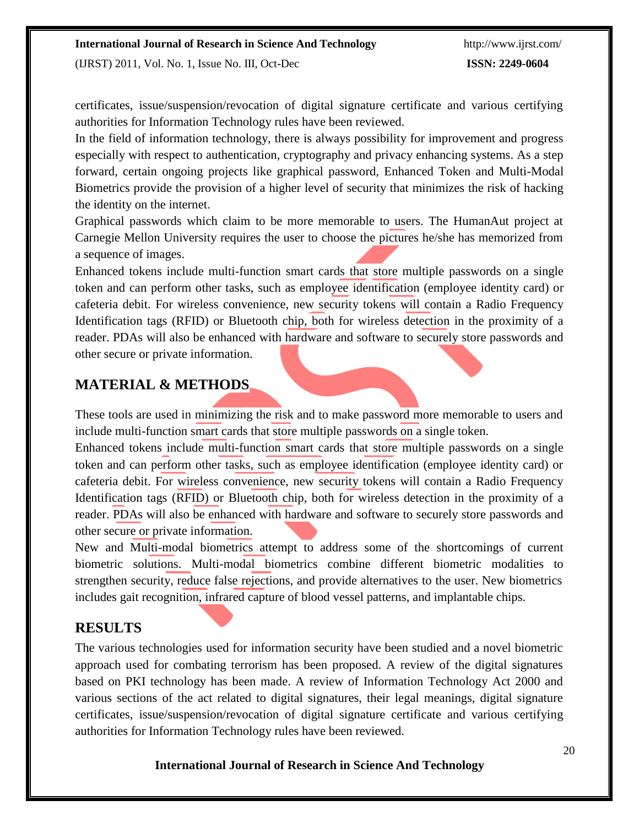#### **International Journal of Research in Science And Technology** <http://www.ijrst.com/>

(IJRST) 2011, Vol. No. 1, Issue No. III, Oct-Dec **ISSN: 2249-0604**

certificates, issue/suspension/revocation of digital signature certificate and various certifying authorities for Information Technology rules have been reviewed.

In the field of information technology, there is always possibility for improvement and progress especially with respect to authentication, cryptography and privacy enhancing systems. As a step forward, certain ongoing projects like graphical password, Enhanced Token and Multi-Modal Biometrics provide the provision of a higher level of security that minimizes the risk of hacking the identity on the internet.

Graphical passwords which claim to be more memorable to users. The HumanAut project at Carnegie Mellon University requires the user to choose the pictures he/she has memorized from a sequence of images.

Enhanced tokens include multi-function smart cards that store multiple passwords on a single token and can perform other tasks, such as employee identification (employee identity card) or cafeteria debit. For wireless convenience, new security tokens will contain a Radio Frequency Identification tags (RFID) or Bluetooth chip, both for wireless detection in the proximity of a reader. PDAs will also be enhanced with hardware and software to securely store passwords and other secure or private information.

#### **MATERIAL & METHODS**

These tools are used in minimizing the risk and to make password more memorable to users and include multi-function smart cards that store multiple passwords on a single token.

Enhanced tokens include multi-function smart cards that store multiple passwords on a single token and can perform other tasks, such as employee identification (employee identity card) or cafeteria debit. For wireless convenience, new security tokens will contain a Radio Frequency Identification tags (RFID) or Bluetooth chip, both for wireless detection in the proximity of a reader. PDAs will also be enhanced with hardware and software to securely store passwords and other secure or private information.

New and Multi-modal biometrics attempt to address some of the shortcomings of current biometric solutions. Multi-modal biometrics combine different biometric modalities to strengthen security, reduce false rejections, and provide alternatives to the user. New biometrics includes gait recognition, infrared capture of blood vessel patterns, and implantable chips.

### **RESULTS**

The various technologies used for information security have been studied and a novel biometric approach used for combating terrorism has been proposed. A review of the digital signatures based on PKI technology has been made. A review of Information Technology Act 2000 and various sections of the act related to digital signatures, their legal meanings, digital signature certificates, issue/suspension/revocation of digital signature certificate and various certifying authorities for Information Technology rules have been reviewed.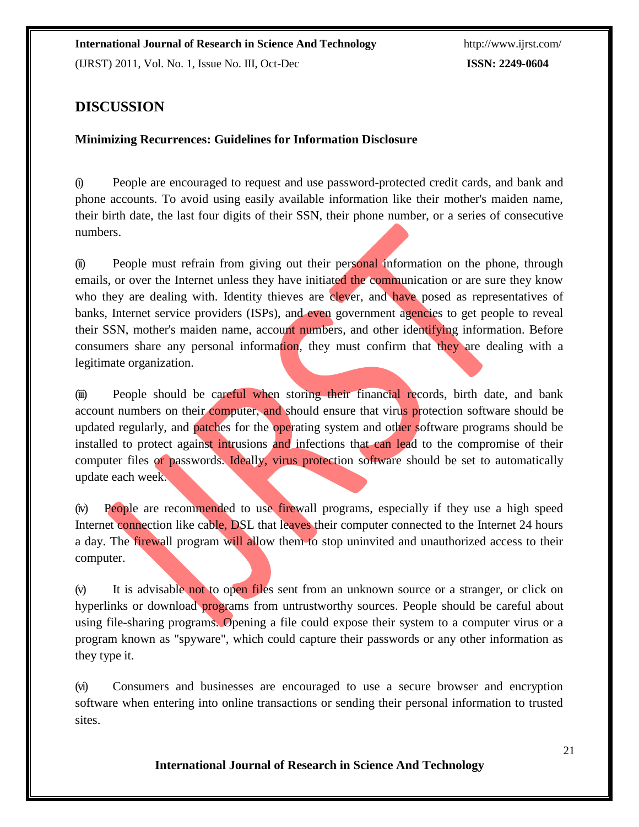### **DISCUSSION**

#### **Minimizing Recurrences: Guidelines for Information Disclosure**

(i) People are encouraged to request and use password-protected credit cards, and bank and phone accounts. To avoid using easily available information like their mother's maiden name, their birth date, the last four digits of their SSN, their phone number, or a series of consecutive numbers.

(ii) People must refrain from giving out their personal information on the phone, through emails, or over the Internet unless they have initiated the communication or are sure they know who they are dealing with. Identity thieves are clever, and have posed as representatives of banks, Internet service providers (ISPs), and even government agencies to get people to reveal their SSN, mother's maiden name, account numbers, and other identifying information. Before consumers share any personal information, they must confirm that they are dealing with a legitimate organization.

(iii) People should be careful when storing their financial records, birth date, and bank account numbers on their computer, and should ensure that virus protection software should be updated regularly, and patches for the operating system and other software programs should be installed to protect against intrusions and infections that can lead to the compromise of their computer files or passwords. Ideally, virus protection software should be set to automatically update each week.

(iv) People are recommended to use firewall programs, especially if they use a high speed Internet connection like cable, DSL that leaves their computer connected to the Internet 24 hours a day. The firewall program will allow them to stop uninvited and unauthorized access to their computer.

(v) It is advisable not to open files sent from an unknown source or a stranger, or click on hyperlinks or download programs from untrustworthy sources. People should be careful about using file-sharing programs. Opening a file could expose their system to a computer virus or a program known as "spyware", which could capture their passwords or any other information as they type it.

(vi) Consumers and businesses are encouraged to use a secure browser and encryption software when entering into online transactions or sending their personal information to trusted sites.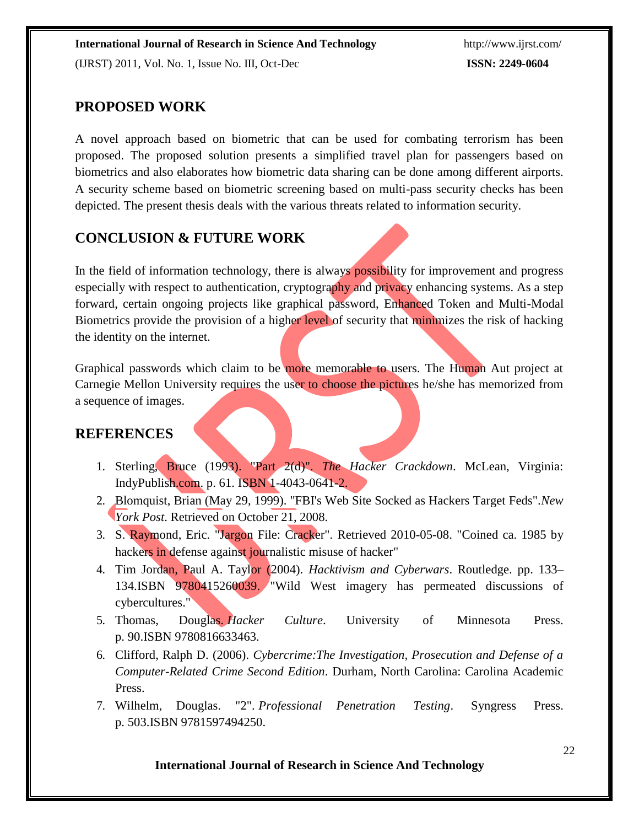A novel approach based on biometric that can be used for combating terrorism has been proposed. The proposed solution presents a simplified travel plan for passengers based on biometrics and also elaborates how biometric data sharing can be done among different airports. A security scheme based on biometric screening based on multi-pass security checks has been depicted. The present thesis deals with the various threats related to information security.

## **CONCLUSION & FUTURE WORK**

In the field of information technology, there is always **possibility** for improvement and progress especially with respect to authentication, cryptography and privacy enhancing systems. As a step forward, certain ongoing projects like graphical password, Enhanced Token and Multi-Modal Biometrics provide the provision of a higher level of security that minimizes the risk of hacking the identity on the internet.

Graphical passwords which claim to be more memorable to users. The Human Aut project at Carnegie Mellon University requires the user to choose the pictures he/she has memorized from a sequence of images.

#### **REFERENCES**

- 1. [Sterling, Bruce \(](http://en.wikipedia.org/wiki/Bruce_Sterling)1993). "Part 2(d)". *[The Hacker Crackdown](http://en.wikipedia.org/wiki/The_Hacker_Crackdown)*. McLean, Virginia: IndyPublish.com. p. 61. ISBN 1-4043-0641-2.
- 2. Blomquist, Brian (May 29, 1999). "FBI's Web Site Socked as Hackers Target Feds".*New York Post*. Retrieved on October 21, 2008.
- 3. S. Raymond, Eric. ["Jargon File: Cracker". R](http://catb.org/jargon/html/C/cracker.html)etrieved 2010-05-08. "Coined ca. 1985 by hackers in defense against journalistic misuse of hacker"
- 4. Tim Jordan, Paul A. Taylor (2004). *Hacktivism and Cyberwars*. Routledge. pp. 133– 134[.ISBN 9](http://en.wikipedia.org/wiki/International_Standard_Book_Number)780415260039. "Wild West imagery has permeated discussions of cybercultures."
- 5. Thomas, Douglas. *Hacker Culture*. University of Minnesota Press. p. 90[.ISBN](http://en.wikipedia.org/wiki/International_Standard_Book_Number) 9780816633463.
- 6. Clifford, Ralph D. (2006). *Cybercrime:The Investigation, Prosecution and Defense of a Computer-Related Crime Second Edition*. Durham, North Carolina: Carolina Academic Press.
- 7. Wilhelm, Douglas. "2". *Professional Penetration Testing*. Syngress Press. p. 503[.ISBN](http://en.wikipedia.org/wiki/International_Standard_Book_Number) 9781597494250.